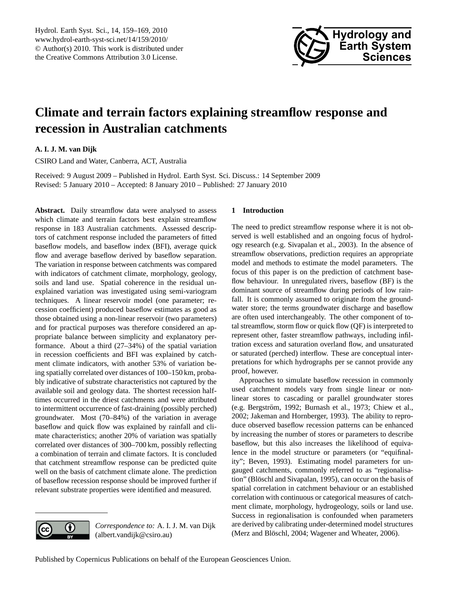

## <span id="page-0-0"></span>**Climate and terrain factors explaining streamflow response and recession in Australian catchments**

**A. I. J. M. van Dijk**

CSIRO Land and Water, Canberra, ACT, Australia

Received: 9 August 2009 – Published in Hydrol. Earth Syst. Sci. Discuss.: 14 September 2009 Revised: 5 January 2010 – Accepted: 8 January 2010 – Published: 27 January 2010

**Abstract.** Daily streamflow data were analysed to assess which climate and terrain factors best explain streamflow response in 183 Australian catchments. Assessed descriptors of catchment response included the parameters of fitted baseflow models, and baseflow index (BFI), average quick flow and average baseflow derived by baseflow separation. The variation in response between catchments was compared with indicators of catchment climate, morphology, geology, soils and land use. Spatial coherence in the residual unexplained variation was investigated using semi-variogram techniques. A linear reservoir model (one parameter; recession coefficient) produced baseflow estimates as good as those obtained using a non-linear reservoir (two parameters) and for practical purposes was therefore considered an appropriate balance between simplicity and explanatory performance. About a third (27–34%) of the spatial variation in recession coefficients and BFI was explained by catchment climate indicators, with another 53% of variation being spatially correlated over distances of 100–150 km, probably indicative of substrate characteristics not captured by the available soil and geology data. The shortest recession halftimes occurred in the driest catchments and were attributed to intermittent occurrence of fast-draining (possibly perched) groundwater. Most (70–84%) of the variation in average baseflow and quick flow was explained by rainfall and climate characteristics; another 20% of variation was spatially correlated over distances of 300–700 km, possibly reflecting a combination of terrain and climate factors. It is concluded that catchment streamflow response can be predicted quite well on the basis of catchment climate alone. The prediction of baseflow recession response should be improved further if relevant substrate properties were identified and measured.

# 0

*Correspondence to:* A. I. J. M. van Dijk (albert.vandijk@csiro.au)

#### **1 Introduction**

The need to predict streamflow response where it is not observed is well established and an ongoing focus of hydrology research (e.g. Sivapalan et al., 2003). In the absence of streamflow observations, prediction requires an appropriate model and methods to estimate the model parameters. The focus of this paper is on the prediction of catchment baseflow behaviour. In unregulated rivers, baseflow (BF) is the dominant source of streamflow during periods of low rainfall. It is commonly assumed to originate from the groundwater store; the terms groundwater discharge and baseflow are often used interchangeably. The other component of total streamflow, storm flow or quick flow (QF) is interpreted to represent other, faster streamflow pathways, including infiltration excess and saturation overland flow, and unsaturated or saturated (perched) interflow. These are conceptual interpretations for which hydrographs per se cannot provide any proof, however.

Approaches to simulate baseflow recession in commonly used catchment models vary from single linear or nonlinear stores to cascading or parallel groundwater stores (e.g. Bergström, 1992; Burnash et al., 1973; Chiew et al., 2002; Jakeman and Hornberger, 1993). The ability to reproduce observed baseflow recession patterns can be enhanced by increasing the number of stores or parameters to describe baseflow, but this also increases the likelihood of equivalence in the model structure or parameters (or "equifinality"; Beven, 1993). Estimating model parameters for ungauged catchments, commonly referred to as "regionalisation" (Blöschl and Sivapalan, 1995), can occur on the basis of spatial correlation in catchment behaviour or an established correlation with continuous or categorical measures of catchment climate, morphology, hydrogeology, soils or land use. Success in regionalisation is confounded when parameters are derived by calibrating under-determined model structures (Merz and Blöschl, 2004; Wagener and Wheater, 2006).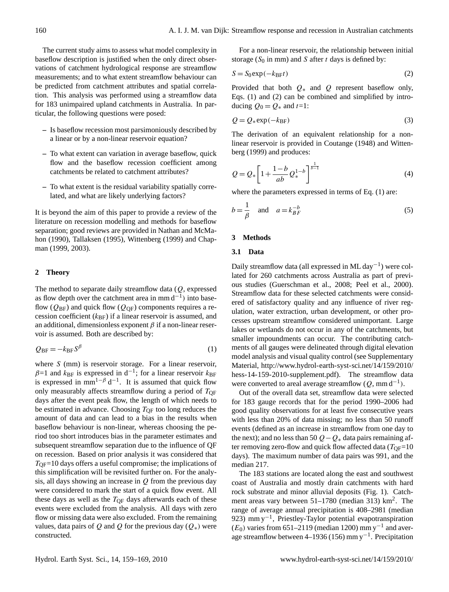The current study aims to assess what model complexity in baseflow description is justified when the only direct observations of catchment hydrological response are streamflow measurements; and to what extent streamflow behaviour can be predicted from catchment attributes and spatial correlation. This analysis was performed using a streamflow data for 183 unimpaired upland catchments in Australia. In particular, the following questions were posed:

- **–** Is baseflow recession most parsimoniously described by a linear or by a non-linear reservoir equation?
- **–** To what extent can variation in average baseflow, quick flow and the baseflow recession coefficient among catchments be related to catchment attributes?
- **–** To what extent is the residual variability spatially correlated, and what are likely underlying factors?

It is beyond the aim of this paper to provide a review of the literature on recession modelling and methods for baseflow separation; good reviews are provided in Nathan and McMahon (1990), Tallaksen (1995), Wittenberg (1999) and Chapman (1999, 2003).

#### **2 Theory**

The method to separate daily streamflow data  $(Q,$  expressed as flow depth over the catchment area in mm  $d^{-1}$ ) into baseflow ( $Q_{BF}$ ) and quick flow ( $Q_{OF}$ ) components requires a recession coefficient  $(k_{BF})$  if a linear reservoir is assumed, and an additional, dimensionless exponent  $\beta$  if a non-linear reservoir is assumed. Both are described by:

$$
Q_{\rm BF} = -k_{\rm BF} S^{\beta} \tag{1}
$$

where S (mm) is reservoir storage. For a linear reservoir,  $\beta$ =1 and  $k_{\text{BF}}$  is expressed in d<sup>-1</sup>; for a linear reservoir  $k_{\text{BF}}$ is expressed in  $mm^{1-\beta} d^{-1}$ . It is assumed that quick flow only measurably affects streamflow during a period of  $T_{\text{OF}}$ days after the event peak flow, the length of which needs to be estimated in advance. Choosing  $T_{\text{QF}}$  too long reduces the amount of data and can lead to a bias in the results when baseflow behaviour is non-linear, whereas choosing the period too short introduces bias in the parameter estimates and subsequent streamflow separation due to the influence of QF on recession. Based on prior analysis it was considered that  $T_{\text{OF}}=10$  days offers a useful compromise; the implications of this simplification will be revisited further on. For the analysis, all days showing an increase in  $Q$  from the previous day were considered to mark the start of a quick flow event. All these days as well as the  $T_{\text{OF}}$  days afterwards each of these events were excluded from the analysis. All days with zero flow or missing data were also excluded. From the remaining values, data pairs of Q and Q for the previous day  $(Q_*)$  were constructed.

For a non-linear reservoir, the relationship between initial storage ( $S_0$  in mm) and S after t days is defined by:

$$
S = S_0 \exp(-k_{\text{BF}}t) \tag{2}
$$

Provided that both  $Q_*$  and  $Q$  represent baseflow only, Eqs. (1) and (2) can be combined and simplified by introducing  $Q_0 = Q_*$  and  $t=1$ :

$$
Q = Q_* \exp(-k_{\text{BF}})
$$
 (3)

The derivation of an equivalent relationship for a nonlinear reservoir is provided in Coutange (1948) and Wittenberg (1999) and produces:

$$
Q = Q_* \left[ 1 + \frac{1-b}{ab} Q_*^{1-b} \right]^{\frac{1}{b-1}}
$$
 (4)

where the parameters expressed in terms of Eq. (1) are:

$$
b = \frac{1}{\beta} \quad \text{and} \quad a = k_{BF}^{-b} \tag{5}
$$

#### **3 Methods**

#### **3.1 Data**

Daily streamflow data (all expressed in ML day−<sup>1</sup> ) were collated for 260 catchments across Australia as part of previous studies (Guerschman et al., 2008; Peel et al., 2000). Streamflow data for these selected catchments were considered of satisfactory quality and any influence of river regulation, water extraction, urban development, or other processes upstream streamflow considered unimportant. Large lakes or wetlands do not occur in any of the catchments, but smaller impoundments can occur. The contributing catchments of all gauges were delineated through digital elevation model analysis and visual quality control (see Supplementary Material, [http://www.hydrol-earth-syst-sci.net/14/159/2010/](http://www.hydrol-earth-syst-sci.net/14/159/2010/hess-14-159-2010-supplement.pdf) [hess-14-159-2010-supplement.pdf\)](http://www.hydrol-earth-syst-sci.net/14/159/2010/hess-14-159-2010-supplement.pdf). The streamflow data were converted to areal average streamflow  $(Q, \text{mm d}^{-1})$ .

Out of the overall data set, streamflow data were selected for 183 gauge records that for the period 1990–2006 had good quality observations for at least five consecutive years with less than 20% of data missing; no less than 50 runoff events (defined as an increase in streamflow from one day to the next); and no less than 50  $Q - Q_*$  data pairs remaining after removing zero-flow and quick flow affected data ( $T_{\text{OF}}=10$ ) days). The maximum number of data pairs was 991, and the median 217.

The 183 stations are located along the east and southwest coast of Australia and mostly drain catchments with hard rock substrate and minor alluvial deposits (Fig. 1). Catchment areas vary between 51-1780 (median 313) km<sup>2</sup>. The range of average annual precipitation is 408–2981 (median 923) mm y<sup>-1</sup>, Priestley-Taylor potential evapotranspiration  $(E_0)$  varies from 651–2119 (median 1200) mm y<sup>-1</sup> and average streamflow between 4–1936 (156) mm y−<sup>1</sup> . Precipitation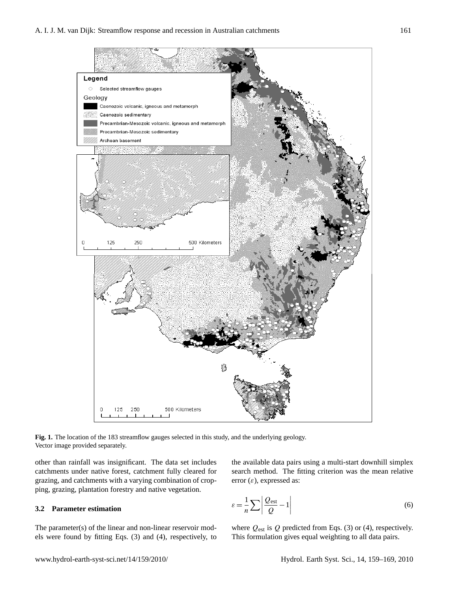

**Fig. 1.** The location of the 183 streamflow gauges selected in this study, and the underlying geology. Vector image provided separately.

other than rainfall was insignificant. The data set includes catchments under native forest, catchment fully cleared for grazing, and catchments with a varying combination of cropping, grazing, plantation forestry and native vegetation.

#### **3.2 Parameter estimation**

The parameter(s) of the linear and non-linear reservoir models were found by fitting Eqs. (3) and (4), respectively, to the available data pairs using a multi-start downhill simplex search method. The fitting criterion was the mean relative error  $(\varepsilon)$ , expressed as:

$$
\varepsilon = \frac{1}{n} \sum \left| \frac{Q_{\text{est}}}{Q} - 1 \right| \tag{6}
$$

where  $Q_{est}$  is  $Q$  predicted from Eqs. (3) or (4), respectively. This formulation gives equal weighting to all data pairs.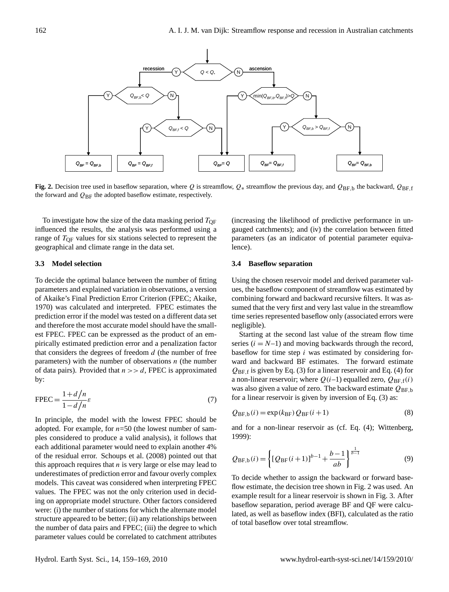

**Fig. 2.** Decision tree used in baseflow separation, where Q is streamflow,  $Q_*$  streamflow the previous day, and  $Q_{BF,b}$  the backward,  $Q_{BF,f}$ the forward and  $Q_{BF}$  the adopted baseflow estimate, respectively.

range of  $T_{\text{QF}}$  values for six stations selected to represent the To investigate how the size of the data masking period  $T_{\text{OF}}$ influenced the results, the analysis was performed using a geographical and climate range in the data set.

#### **3.3 Model selection**

of data pairs). Provided that  $n >> d$ , FPEC is approximated pirically estimated prediction error and a penalization factor and therefore the most accurate model should have the smallof Akaike's Final Prediction Error Criterion (FPEC; Akaike, iC<br>ate<br>the<br>Ith<br>Pr 1970) was calculated and interpreted. FPEC estimates the prediction error if the model was tested on a different data set To decide the optimal balance between the number of fitting parameters and explained variation in observations, a version est FPEC. FPEC can be expressed as the product of an emthat considers the degrees of freedom  $d$  (the number of free parameters) with the number of observations  $n$  (the number by:

$$
FPEC = \frac{1 + d/n}{1 - d/n} \varepsilon \tag{7}
$$

In principle, the model with the lowest FPEC should be of the residual error. Schoups et al. (2008) pointed out that  $Q_{BF,b}(i) = \left\{ [Q_{BF}(i+1)]^{b-1} + \frac{b-1}{ab} \right\}^{b-1}$ underestimates of prediction error and favour overly complex<br>To decide whether to assign the backward or forward b values. The FPEC was not the only criterion used in decid-<br> $\frac{1}{2}$  around result for a linear receptor is shown in Fig. 3, 4 If the number of stations for which the alternate model<br>were: (i) the number of stations for which the alternate model adopted. For example, for  $n=50$  (the lowest number of samples considered to produce a valid analysis), it follows that each additional parameter would need to explain another 4% this approach requires that  $n$  is very large or else may lead to models. This caveat was considered when interpreting FPEC ing on appropriate model structure. Other factors considered structure appeared to be better; (ii) any relationships between the number of data pairs and FPEC; (iii) the degree to which parameter values could be correlated to catchment attributes

stigate how the size of the data masking period  $T_{\text{QF}}$  (increasing the likelihood of predictive performance in ungauged catchments); and (iv) the correlation between fitted parameters (as an indicator of potential parameter equivalence).

#### **3.4 Baseflow separation**

negligible). combining forward and backward recursive filters. It was assumed that the very first and very last value in the streamflow time series represented baseflow only (associated errors were Using the chosen reservoir model and derived parameter values, the baseflow component of streamflow was estimated by

was also given a value of zero. The backward estimate  $Q_{BF,b}$ baseflow for time step  $i$  was estimated by considering forart<br>s(do<br>do<br>fi<br>n-l Starting at the second last value of the stream flow time series  $(i = N-1)$  and moving backwards through the record, ward and backward BF estimates. The forward estimate  $Q_{BF,f}$  is given by Eq. (3) for a linear reservoir and Eq. (4) for a non-linear reservoir; where  $Q(i-1)$  equalled zero,  $Q_{BF,f}(i)$ for a linear reservoir is given by inversion of Eq. (3) as:

$$
Q_{\rm BF,b}(i) = \exp(k_{\rm BF}) Q_{\rm BF}(i+1)
$$
\n(8)

and for a non-linear reservoir as (cf. Eq. (4); Wittenberg, 1999):

$$
Q_{\text{BF},b}(i) = \left\{ [Q_{\text{BF}}(i+1)]^{b-1} + \frac{b-1}{ab} \right\}^{\frac{1}{b-1}}
$$
(9)

To decide whether to assign the backward or forward baseflow estimate, the decision tree shown in Fig. 2 was used. An example result for a linear reservoir is shown in Fig. 3. After baseflow separation, period average BF and QF were calculated, as well as baseflow index (BFI), calculated as the ratio of total baseflow over total streamflow.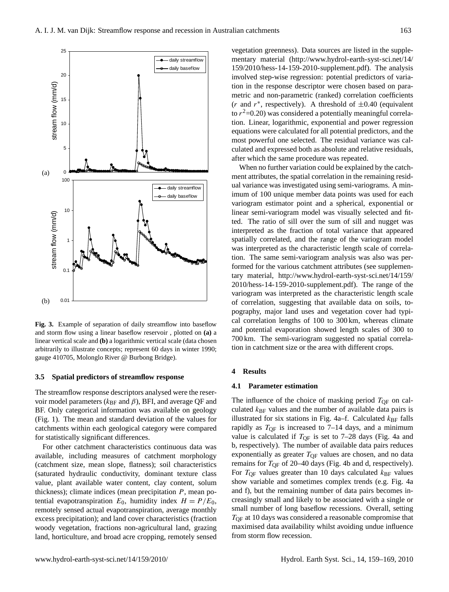

arbitrarily to illustrate concepts; represent 60 days in winter 1990;<br> $\frac{1}{2}$ **Fig. 3.** Example of separation of daily streamflow into baseflow and storm flow using a linear baseflow reservoir , plotted on **(a)** a linear vertical scale and **(b)** a logarithmic vertical scale (data chosen gauge 410705, Molonglo River @ Burbong Bridge).

#### scale (data chosen arbitrarily to illustrate concepts; represent 60 days in winter 1990; gauge **3.5 Spatial predictors of streamflow response**

The streamflow response descriptors analysed were the reservoir model parameters ( $k_{\text{BF}}$  and  $\beta$ ), BFI, and average QF and BF. Only categorical information was available on geology (Fig. 1). The mean and standard deviation of the values for catchments within each geological category were compared for statistically significant differences.

thickness); climate indices (mean precipitation  $P$ , mean po-For other catchment characteristics continuous data was available, including measures of catchment morphology (catchment size, mean slope, flatness); soil characteristics (saturated hydraulic conductivity, dominant texture class value, plant available water content, clay content, solum tential evapotranspiration  $E_0$ , humidity index  $H = P/E_0$ , remotely sensed actual evapotranspiration, average monthly excess precipitation); and land cover characteristics (fraction woody vegetation, fractions non-agricultural land, grazing land, horticulture, and broad acre cropping, remotely sensed

most powerful one selected. The residual variance was calto  $r^2$ =0.20) was considered a potentially meaningful correla-10 tion in the response descriptor were chosen based on paravegetation greenness). Data sources are listed in the supple- $\begin{array}{c}\n\text{t in } \\
\text{t in } \\
\text{t in } \\
\text{t in } \\
\text{t in } \\
\text{t in } \\
\text{t in } \\
\text{t in } \\
\text{t in } \\
\text{t in } \\
\text{t in } \\
\text{t in } \\
\text{t in } \\
\text{t in } \\
\text{t in } \\
\text{t in } \\
\text{t in } \\
\text{t in } \\
\text{t in } \\
\text{t in } \\
\text{t in } \\
\text{t in } \\
\text{t in } \\
\text{t in } \\
\text{t in } \\
\text{t in } \\
\text{t in } \\
\text{t in } \\
\text{t in } \\
\text{t in } \\
\text$ mentary material [\(http://www.hydrol-earth-syst-sci.net/14/](http://www.hydrol-earth-syst-sci.net/14/159/2010/hess-14-159-2010-supplement.pdf) [159/2010/hess-14-159-2010-supplement.pdf\)](http://www.hydrol-earth-syst-sci.net/14/159/2010/hess-14-159-2010-supplement.pdf). The analysis involved step-wise regression: potential predictors of variametric and non-parametric (ranked) correlation coefficients (*r* and  $r^*$ , respectively). A threshold of  $\pm 0.40$  (equivalent tion. Linear, logarithmic, exponential and power regression equations were calculated for all potential predictors, and the culated and expressed both as absolute and relative residuals, after which the same procedure was repeated.

ment attributes, the spatial correlation in the remaining resid-When no further variation could be explained by the catchual variance was investigated using semi-variograms. A minimum of 100 unique member data points was used for each variogram estimator point and a spherical, exponential or linear semi-variogram model was visually selected and fitinterpreted as the fraction of total variance that appeared was interpreted as the characteristic length scale of correlaformed for the various catchment attributes (see supplementary material, [http://www.hydrol-earth-syst-sci.net/14/159/](http://www.hydrol-earth-syst-sci.net/14/159/2010/hess-14-159-2010-supplement.pdf) [2010/hess-14-159-2010-supplement.pdf\)](http://www.hydrol-earth-syst-sci.net/14/159/2010/hess-14-159-2010-supplement.pdf). The range of the variogram was interpreted as the characteristic length scale of correlation, suggesting that available data on soils, topography, major land uses and vegetation cover had typical correlation lengths of 100 to 300 km, whereas climate and potential evaporation showed length scales of 300 to 700 km. The semi-variogram suggested no spatial correlation in catchment size or the area with different crops.

#### **4 Results**

#### **4.1 Parameter estimation**

The influence of the choice of masking period  $T_{\text{QF}}$  on calculated  $k_{\text{BF}}$  values and the number of available data pairs is illustrated for six stations in Fig. 4a–f. Calculated  $k_{\text{BF}}$  falls rapidly as  $T_{\text{OF}}$  is increased to 7–14 days, and a minimum value is calculated if  $T_{\text{OF}}$  is set to 7–28 days (Fig. 4a and b, respectively). The number of available data pairs reduces exponentially as greater  $T_{\text{OF}}$  values are chosen, and no data remains for  $T_{\text{QF}}$  of 20–40 days (Fig. 4b and d, respectively). For  $T_{\text{OF}}$  values greater than 10 days calculated  $k_{\text{BF}}$  values show variable and sometimes complex trends (e.g. Fig. 4a and f), but the remaining number of data pairs becomes increasingly small and likely to be associated with a single or small number of long baseflow recessions. Overall, setting TQF at 10 days was considered a reasonable compromise that maximised data availability whilst avoiding undue influence from storm flow recession.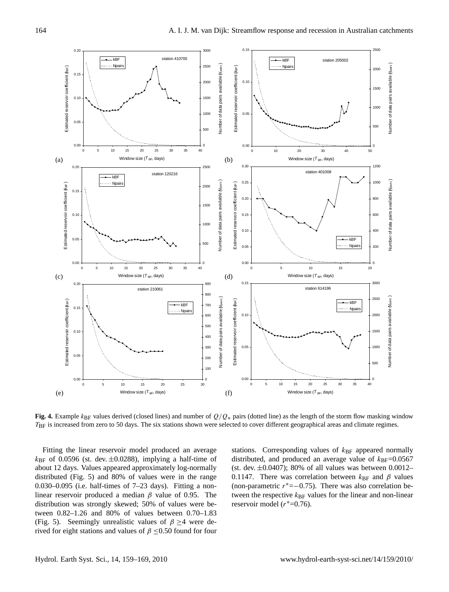

 $T_{\rm BF}$  is increased from zero to 50 days. The six stations shown were selected to cover different geographical areas and climate regimes. Fig. 4. Example  $k_{\text{BF}}$  values derived (closed lines) and number of  $Q/Q_*$  pairs (dotted line) as the length of the storm flow masking window

stations shown were selected to cover different geographical areas and climate regimes. distributed (Fig. 5) and 80% of values were in the range 0.030–0.095 (i.e. half-times of 7–23 days). Fitting a non-<br>
(non-parametric  $r^* = -0.75$ ). There was also correlated to cover the regime of 7–23 days). Fitting a nonabout 12 days. Values appeared approximately log-normally (st. dev. ±0.0407); 80% of all values was between Fitting the linear reservoir model produced an average  $k_{\text{BF}}$  of 0.0596 (st. dev.  $\pm$ 0.0288), implying a half-time of linear reservoir produced a median  $\beta$  value of 0.95. The distribution was strongly skewed; 50% of values were between 0.82–1.26 and 80% of values between 0.70–1.83 (Fig. 5). Seemingly unrealistic values of  $\beta \geq 4$  were derived for eight stations and values of  $\beta \leq 0.50$  found for four

ing the linear reservoir model produced an average stations. Corresponding values of  $k_{BF}$  appeared normally 12 days. Values appeared approximately log-normally (st. dev.  $\pm 0.0407$ ); 80% of all values was between 0.0012– distributed, and produced an average value of  $k_{\text{BF}}=0.0567$ 0.1147. There was correlation between  $k_{\text{BF}}$  and  $\beta$  values (non-parametric  $r^* = -0.75$ ). There was also correlation between the respective  $k_{\text{BF}}$  values for the linear and non-linear reservoir model  $(r^*=0.76)$ .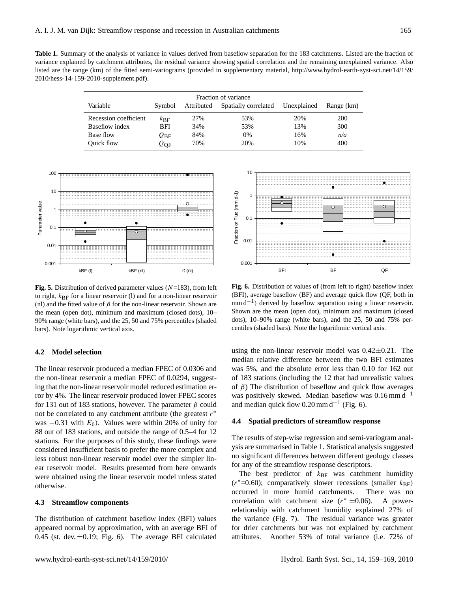Table 1. Summary of the analysis of variance in values derived from baseflow separation for the 183 catchments. Listed are the fraction of variance explained by catchment attributes, the residual variance showing spatial correlation and the remaining unexplained variance. Also listed are the range (km) of the fitted semi-variograms (provided in supplementary material, [http://www.hydrol-earth-syst-sci.net/14/159/](http://www.hydrol-earth-syst-sci.net/14/159/2010/hess-14-159-2010-supplement.pdf) [2010/hess-14-159-2010-supplement.pdf\)](http://www.hydrol-earth-syst-sci.net/14/159/2010/hess-14-159-2010-supplement.pdf).

|                       | Fraction of variance   |            |                      |             |            |
|-----------------------|------------------------|------------|----------------------|-------------|------------|
| Variable              | Symbol                 | Attributed | Spatially correlated | Unexplained | Range (km) |
| Recession coefficient | $k_{\rm BF}$           | 27%        | 53%                  | 20%         | 200        |
| Baseflow index        | <b>BFI</b>             | 34%        | 53%                  | 13%         | 300        |
| Base flow             | $\mathcal{Q}_{\rm BF}$ | 84%        | 0%                   | 16%         | n/a        |
| <b>Ouick flow</b>     | $\varrho_{\text{QF}}$  | 70%        | 20%                  | 10%         | 400        |



**Fig. 5.** Distribution of derived parameter values  $(N=183)$ , from left **Fig. 6.** Dist (nl) and the fitted value of  $\beta$  for the non-linear reservoir. Shown are  $mmd^{-1}$  d the mean (open dot), minimum and maximum (closed dots), 10–<br>Shown are 90% range (white bars), and the 25, 50 and 75% percentiles (shaded  $\qquad$  dots), 10–9 bars). Note logarithmic vertical axis. to right,  $k_{\text{BF}}$  for a linear reservoir (l) and for a non-linear reservoir

#### 10 **4.2 Model selection**

stations. For the purposes of this study, these findings were was  $-0.31$  with  $E_0$ ). Values were within 20% of unity for ror by 4%. The linear reservoir produced lower FPEC scores 1 the non-linear reservoir a median FPEC of 0.0294, suggestconsidered insufficient basis to prefer the more complex and  $\frac{\text{f}}{\text{h}}$ <br>he<br>ng<br>or<br>or ear reservoir model. Results presented from here onwards  $\frac{100 \text{ m/s}}{200 \text{ m/s}}$ were obtained using the linear reservoir model unless stated  $\frac{1 \text{ ne } \text{ be}}{1 \text{ ne } \text{ ce}}}$ linear reservoir. Shown are the mean (open dot), minimum and maximum (closed dots), 10–10–10–10–10–10–10–10–10 The linear reservoir produced a median FPEC of 0.0306 and ing that the non-linear reservoir model reduced estimation erfor 131 out of 183 stations, however. The parameter  $\beta$  could not be correlated to any catchment attribute (the greatest  $r^*$ 88 out of 183 stations, and outside the range of 0.5–4 for 12 less robust non-linear reservoir model over the simpler linotherwise.

### **4.3 Streamflow components** correlation

The distribution of catchment baseflow index (BFI) values appeared normal by approximation, with an average BFI of 0.45 (st. dev.  $\pm$ 0.19; Fig. 6). The average BFI calculated



**Fig. 6.** Distribution of values of (from left to right) baseflow index  $(m+1)$  derived by baseflow separation using a linear reservoir. Shown are the mean (open dot), minimum and maximum (closed dots),  $10-90\%$  range (white bars), and the 25, 50 and 75% percentiles (shaded bars). Note the logarithmic vertical axis. (BFI), average baseflow (BF) and average quick flow (QF, both in

using the non-linear reservoir model was  $0.42 \pm 0.21$ . The median relative difference between the two BFI estimates was 5%, and the absolute error less than 0.10 for 162 out of 183 stations (including the 12 that had unrealistic values of  $\beta$ ) The distribution of baseflow and quick flow averages was positively skewed. Median baseflow was  $0.16$  mm d<sup>-1</sup> and median quick flow  $0.20$  mm d<sup>-1</sup> (Fig. 6).

#### **4.4 Spatial predictors of streamflow response**

The results of step-wise regression and semi-variogram analysis are summarised in Table 1. Statistical analysis suggested no significant differences between different geology classes for any of the streamflow response descriptors.

21 attributes. Another 53% of total variance (i.e. 72% of The best predictor of  $k_{\text{BF}}$  was catchment humidity  $(r^*=0.60)$ ; comparatively slower recessions (smaller  $k_{\text{BF}}$ ) occurred in more humid catchments. There was no correlation with catchment size  $(r^* = 0.06)$ . A powerrelationship with catchment humidity explained 27% of the variance (Fig. 7). The residual variance was greater for drier catchments but was not explained by catchment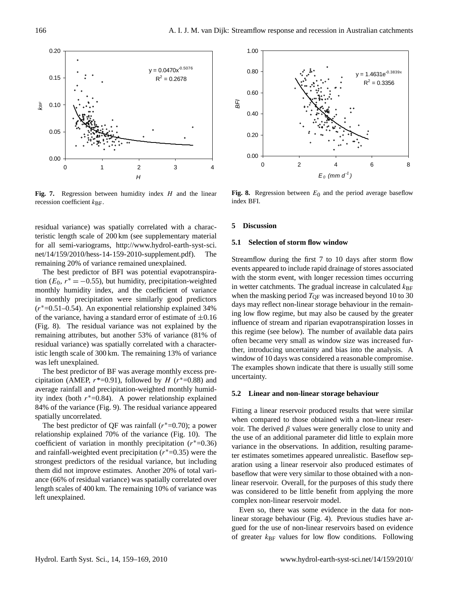

recession coefficient  $k_{\text{BF}}$ . The linear *and the linear BFI*. Fig. 7. Regression between humidity index H and the linear

remaining 20% of variance remained unexplained. [net/14/159/2010/hess-14-159-2010-supplement.pdf\)](http://www.hydrol-earth-syst-sci.net/14/159/2010/hess-14-159-2010-supplement.pdf). The teristic length scale of 200 km (see supplementary material residual variance) was spatially correlated with a characfor all semi-variograms, [http://www.hydrol-earth-syst-sci.](http://www.hydrol-earth-syst-sci.net/14/159/2010/hess-14-159-2010-supplement.pdf)

The best predictor of BFI was potential evapotranspiraresidual variance) was spatially correlated with a characteror the variance, having a standard crist of commute of mostly<br>(Fig. 8). The residual variance was not explained by the in monthly precipitation were similarly good predictors tion ( $E_0$ ,  $r^* = -0.55$ ), but humidity, precipitation-weighted istic length scale of 300 km. The remaining 13% of variance monthly humidity index, and the coefficient of variance (r <sup>∗</sup>=0.51–0.54). An exponential relationship explained 34% of the variance, having a standard error of estimate of  $\pm 0.16$ remaining attributes, but another 53% of variance (81% of was left unexplained.

 $\frac{1}{2}$  average rainfall and precipitation-weighted monthly humid-The best predictor of BF was average monthly excess precipitation (AMEP,  $r^*=0.91$ ), followed by  $H (r^*=0.88)$  and ity index (both  $r^*$ =0.84). A power relationship explained 84% of the variance (Fig. 9). The residual variance appeared spatially uncorrelated.

The best predictor of QF was rainfall  $(r^*=0.70)$ ; a power relationship explained 70% of the variance (Fig. 10). The coefficient of variation in monthly precipitation  $(r^* = 0.36)$ and rainfall-weighted event precipitation  $(r^*=0.35)$  were the strongest predictors of the residual variance, but including them did not improve estimates. Another 20% of total variance (66% of residual variance) was spatially correlated over length scales of 400 km. The remaining 10% of variance was left unexplained.



**Fig. 8.** Regression between  $E_0$  and the period average baseflow index BFI. index BFI.

#### **5 Discussion**

#### **5.1 Selection of storm flow window**

Streamflow during the first 7 to 10 days after storm flow events appeared to include rapid drainage of stores associated with the storm event, with longer recession times occurring in wetter catchments. The gradual increase in calculated  $k_{\text{BF}}$ when the masking period  $T_{OF}$  was increased beyond 10 to 30 days may reflect non-linear storage behaviour in the remaining low flow regime, but may also be caused by the greater influence of stream and riparian evapotranspiration losses in this regime (see below). The number of available data pairs often became very small as window size was increased further, introducing uncertainty and bias into the analysis. A window of 10 days was considered a reasonable compromise. The examples shown indicate that there is usually still some uncertainty.

#### **5.2 Linear and non-linear storage behaviour**

ter estimates sometimes appeared unrealistic. Baseflow sep-Fitting a linear reservoir produced results that were similar when compared to those obtained with a non-linear reservoir. The derived  $\beta$  values were generally close to unity and the use of an additional parameter did little to explain more variance in the observations. In addition, resulting paramearation using a linear reservoir also produced estimates of baseflow that were very similar to those obtained with a nonlinear reservoir. Overall, for the purposes of this study there was considered to be little benefit from applying the more complex non-linear reservoir model.

Even so, there was some evidence in the data for nonlinear storage behaviour (Fig. 4). Previous studies have argued for the use of non-linear reservoirs based on evidence of greater  $k_{\text{BF}}$  values for low flow conditions. Following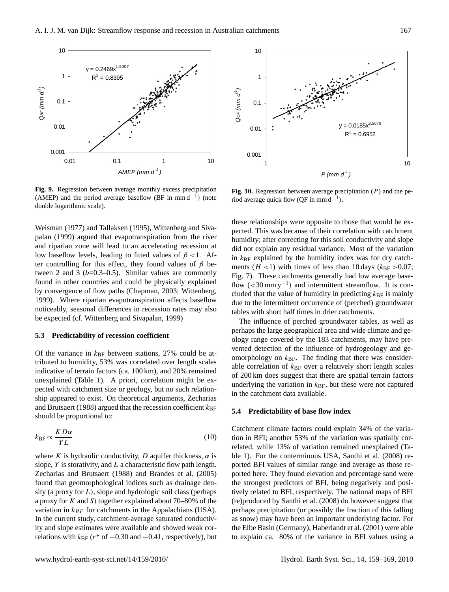

Fig. 3. Regression between average monthly excess precipitation Fig. 10. Regression (AMEP) and the period average baseflow (BF in mm d<sup>-1</sup>) (note riod average quick flo double logarithmic scale). **Fig. 9.** Regression between average monthly excess precipitation

noticeably, seasonal differences in recession rates may also be expected (cf. Wittenberg and Sivapalan, 1999) by convergence of flow paths (Chapman, 2003; Wittenberg, ter controlling for this effect, they found values of  $\beta$  be-10 palan (1999) argued that evapotranspiration from the river tween 2 and 3 ( $b$ =0.3–0.5). Similar values are commonly found in other countries and could be physically explained<br>by convergence of flow paths (Chapman, 2003; Wittenberg,<br>1999). Where riparian evapotranspiration affects baseflow Weisman (1977) and Tallaksen (1995), Wittenberg and Sivaand riparian zone will lead to an accelerating recession at low baseflow levels, leading to fitted values of  $\beta$  <1. Af-1999). Where riparian evapotranspiration affects baseflow

#### 0.001 **5.3 Predictability of recession coefficient**

tributed to humidity, 53% was correlated over length scales  $\frac{\text{Sine} \cdot \text{probability}}{\text{able correlation of}}$ indicative of terrain factors (ca.  $100 \text{ km}$ ), and  $20\%$  remained Of the variance in  $k_{\text{BF}}$  between stations, 27% could be atunexplained (Table 1). A priori, correlation might be expected with catchment size or geology, but no such relationship appeared to exist. On theoretical arguments, Zecharias and Brutsaert (1988) argued that the recession coefficient  $k_{\text{BF}}$ should be proportional to:

$$
k_{\rm BF} \propto \frac{K D \alpha}{YL} \tag{10}
$$

where K is hydraulic conductivity, D aquifer thickness,  $\alpha$  is slope,  $Y$  is storativity, and  $L$  a characteristic flow path length. Zecharias and Brutsaert (1988) and Brandes et al. (2005) found that geomorphological indices such as drainage density (a proxy for  $L$ ), slope and hydrologic soil class (perhaps a proxy for  $K$  and  $S$ ) together explained about 70–80% of the variation in  $k_{BF}$  for catchments in the Appalachians (USA). In the current study, catchment-average saturated conductivity and slope estimates were available and showed weak correlations with  $k_{\text{BF}}$  ( $r^*$  of  $-0.30$  and  $-0.41$ , respectively), but



**Fig. 10.** Regression between average precipitation (P) and the period average quick flow (QF in mm d<sup>-1</sup>).

these relationships were opposite to those that would be expected. This was because of their correlation with catchment humidity; after correcting for this soil conductivity and slope did not explain any residual variance. Most of the variation in  $k_{\text{BF}}$  explained by the humidity index was for dry catchments ( $H$  <1) with times of less than 10 days ( $k_{\text{BF}} > 0.07$ ; Fig. 7). These catchments generally had low average baseflow  $(< 30 \text{ mm y}^{-1})$  and intermittent streamflow. It is concluded that the value of humidity in predicting  $k_{\text{BF}}$  is mainly due to the intermittent occurrence of (perched) groundwater tables with short half times in drier catchments.

The influence of perched groundwater tables, as well as perhaps the large geographical area and wide climate and geology range covered by the 183 catchments, may have prevented detection of the influence of hydrogeology and geomorphology on  $k_{BF}$ . The finding that there was considerable correlation of  $k_{\text{BF}}$  over a relatively short length scales of 200 km does suggest that there are spatial terrain factors underlying the variation in  $k_{\text{BF}}$ , but these were not captured in the catchment data available.

#### **5.4 Predictability of base flow index**

ble 1). For the conterminous USA, Santhi et al. (2008) re-Catchment climate factors could explain 34% of the variation in BFI; another 53% of the variation was spatially correlated, while 13% of variation remained unexplained (Taported BFI values of similar range and average as those reported here. They found elevation and percentage sand were the strongest predictors of BFI, being negatively and positively related to BFI, respectively. The national maps of BFI (re)produced by Santhi et al. (2008) do however suggest that perhaps precipitation (or possibly the fraction of this falling as snow) may have been an important underlying factor. For the Elbe Basin (Germany), Haberlandt et al. (2001) were able to explain ca. 80% of the variance in BFI values using a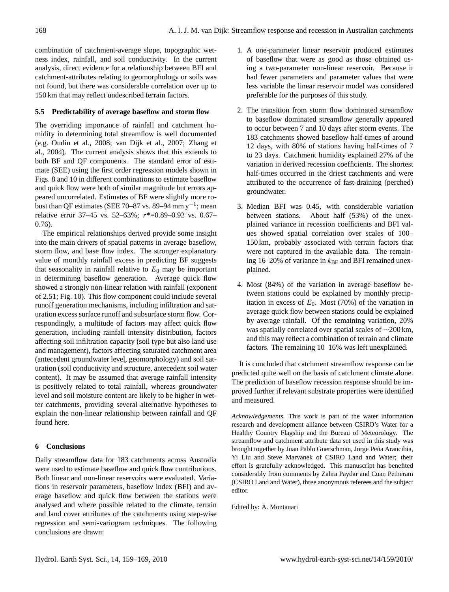combination of catchment-average slope, topographic wetness index, rainfall, and soil conductivity. In the current analysis, direct evidence for a relationship between BFI and catchment-attributes relating to geomorphology or soils was not found, but there was considerable correlation over up to 150 km that may reflect undescribed terrain factors.

#### **5.5 Predictability of average baseflow and storm flow**

The overriding importance of rainfall and catchment humidity in determining total streamflow is well documented (e.g. Oudin et al., 2008; van Dijk et al., 2007; Zhang et al., 2004). The current analysis shows that this extends to both BF and QF components. The standard error of estimate (SEE) using the first order regression models shown in Figs. 8 and 10 in different combinations to estimate baseflow and quick flow were both of similar magnitude but errors appeared uncorrelated. Estimates of BF were slightly more robust than QF estimates (SEE 70–87 vs. 89–94 mm y<sup>-1</sup>; mean relative error 37–45 vs. 52–63%; r\*=0.89–0.92 vs. 0.67– 0.76).

The empirical relationships derived provide some insight into the main drivers of spatial patterns in average baseflow, storm flow, and base flow index. The stronger explanatory value of monthly rainfall excess in predicting BF suggests that seasonality in rainfall relative to  $E_0$  may be important in determining baseflow generation. Average quick flow showed a strongly non-linear relation with rainfall (exponent of 2.51; Fig. 10). This flow component could include several runoff generation mechanisms, including infiltration and saturation excess surface runoff and subsurface storm flow. Correspondingly, a multitude of factors may affect quick flow generation, including rainfall intensity distribution, factors affecting soil infiltration capacity (soil type but also land use and management), factors affecting saturated catchment area (antecedent groundwater level, geomorphology) and soil saturation (soil conductivity and structure, antecedent soil water content). It may be assumed that average rainfall intensity is positively related to total rainfall, whereas groundwater level and soil moisture content are likely to be higher in wetter catchments, providing several alternative hypotheses to explain the non-linear relationship between rainfall and QF found here.

#### **6 Conclusions**

Daily streamflow data for 183 catchments across Australia were used to estimate baseflow and quick flow contributions. Both linear and non-linear reservoirs were evaluated. Variations in reservoir parameters, baseflow index (BFI) and average baseflow and quick flow between the stations were analysed and where possible related to the climate, terrain and land cover attributes of the catchments using step-wise regression and semi-variogram techniques. The following conclusions are drawn:

- 1. A one-parameter linear reservoir produced estimates of baseflow that were as good as those obtained using a two-parameter non-linear reservoir. Because it had fewer parameters and parameter values that were less variable the linear reservoir model was considered preferable for the purposes of this study.
- 2. The transition from storm flow dominated streamflow to baseflow dominated streamflow generally appeared to occur between 7 and 10 days after storm events. The 183 catchments showed baseflow half-times of around 12 days, with 80% of stations having half-times of 7 to 23 days. Catchment humidity explained 27% of the variation in derived recession coefficients. The shortest half-times occurred in the driest catchments and were attributed to the occurrence of fast-draining (perched) groundwater.
- 3. Median BFI was 0.45, with considerable variation between stations. About half (53%) of the unexplained variance in recession coefficients and BFI values showed spatial correlation over scales of 100– 150 km, probably associated with terrain factors that were not captured in the available data. The remaining 16–20% of variance in  $k_{\text{BF}}$  and BFI remained unexplained.
- 4. Most (84%) of the variation in average baseflow between stations could be explained by monthly precipitation in excess of  $E_0$ . Most (70%) of the variation in average quick flow between stations could be explained by average rainfall. Of the remaining variation, 20% was spatially correlated over spatial scales of ∼200 km, and this may reflect a combination of terrain and climate factors. The remaining 10–16% was left unexplained.

It is concluded that catchment streamflow response can be predicted quite well on the basis of catchment climate alone. The prediction of baseflow recession response should be improved further if relevant substrate properties were identified and measured.

*Acknowledgements.* This work is part of the water information research and development alliance between CSIRO's Water for a Healthy Country Flagship and the Bureau of Meteorology. The streamflow and catchment attribute data set used in this study was brought together by Juan Pablo Guerschman, Jorge Peña Arancibia, Yi Liu and Steve Marvanek of CSIRO Land and Water; their effort is gratefully acknowledged. This manuscript has benefited considerably from comments by Zahra Paydar and Cuan Petheram (CSIRO Land and Water), three anonymous referees and the subject editor.

Edited by: A. Montanari